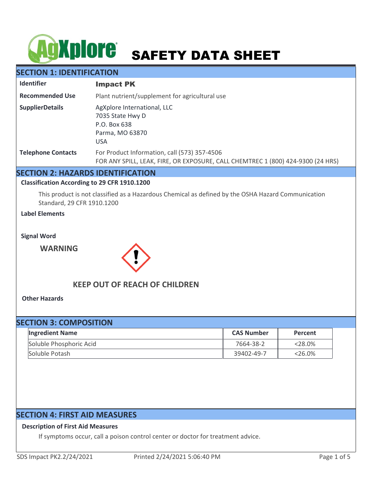# AGXplore SAFETY DATA SHEET

# **SECTION 1: IDENTIFICATION**

| <b>Identifier</b>         | <b>Impact PK</b>                                                                                                                |
|---------------------------|---------------------------------------------------------------------------------------------------------------------------------|
| <b>Recommended Use</b>    | Plant nutrient/supplement for agricultural use                                                                                  |
| <b>SupplierDetails</b>    | AgXplore International, LLC<br>7035 State Hwy D<br>P.O. Box 638<br>Parma, MO 63870<br><b>USA</b>                                |
| <b>Telephone Contacts</b> | For Product Information, call (573) 357-4506<br>FOR ANY SPILL, LEAK, FIRE, OR EXPOSURE, CALL CHEMTREC 1 (800) 424-9300 (24 HRS) |

## **SECTION 2: HAZARDS IDENTIFICATION**

#### **Classification According to 29 CFR 1910.1200**

This product is not classified as a Hazardous Chemical as defined by the OSHA Hazard Communication Standard, 29 CFR 1910.1200

## **Label Elements**

**Signal Word**

**WARNING**



# **KEEP OUT OF REACH OF CHILDREN**

**Other Hazards**

| <b>SECTION 3: COMPOSITION</b> |                   |            |  |  |
|-------------------------------|-------------------|------------|--|--|
| <b>Ingredient Name</b>        | <b>CAS Number</b> | Percent    |  |  |
| Soluble Phosphoric Acid       | 7664-38-2         | $< 28.0\%$ |  |  |
| Soluble Potash                | 39402-49-7        | $<$ 26.0%  |  |  |

# **SECTION 4: FIRST AID MEASURES**

#### **Description of First Aid Measures**

If symptoms occur, call a poison control center or doctor for treatment advice.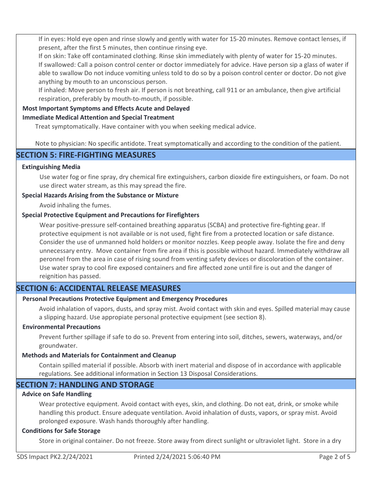If in eyes: Hold eye open and rinse slowly and gently with water for 15-20 minutes. Remove contact lenses, if present, after the first 5 minutes, then continue rinsing eye.

If on skin: Take off contaminated clothing. Rinse skin immediately with plenty of water for 15-20 minutes. If swallowed: Call a poison control center or doctor immediately for advice. Have person sip a glass of water if able to swallow Do not induce vomiting unless told to do so by a poison control center or doctor. Do not give anything by mouth to an unconscious person.

If inhaled: Move person to fresh air. If person is not breathing, call 911 or an ambulance, then give artificial respiration, preferably by mouth-to-mouth, if possible.

## **Most Important Symptoms and Effects Acute and Delayed**

#### **Immediate Medical Attention and Special Treatment**

Treat symptomatically. Have container with you when seeking medical advice.

Note to physician: No specific antidote. Treat symptomatically and according to the condition of the patient.

## **SECTION 5: FIRE-FIGHTING MEASURES**

#### **Extinguishing Media**

Use water fog or fine spray, dry chemical fire extinguishers, carbon dioxide fire extinguishers, or foam. Do not use direct water stream, as this may spread the fire.

#### **Special Hazards Arising from the Substance or Mixture**

Avoid inhaling the fumes.

#### **Special Protective Equipment and Precautions for Firefighters**

Wear positive-pressure self-contained breathing apparatus (SCBA) and protective fire-fighting gear. If protective equipment is not available or is not used, fight fire from a protected location or safe distance. Consider the use of unmanned hold holders or monitor nozzles. Keep people away. Isolate the fire and deny unnecessary entry. Move container from fire area if this is possible without hazard. Immediately withdraw all peronnel from the area in case of rising sound from venting safety devices or discoloration of the container. Use water spray to cool fire exposed containers and fire affected zone until fire is out and the danger of reignition has passed.

# **SECTION 6: ACCIDENTAL RELEASE MEASURES**

#### **Personal Precautions Protective Equipment and Emergency Procedures**

Avoid inhalation of vapors, dusts, and spray mist. Avoid contact with skin and eyes. Spilled material may cause a slipping hazard. Use appropiate personal protective equipment (see section 8).

#### **Environmental Precautions**

Prevent further spillage if safe to do so. Prevent from entering into soil, ditches, sewers, waterways, and/or groundwater.

#### **Methods and Materials for Containment and Cleanup**

Contain spilled material if possible. Absorb with inert material and dispose of in accordance with applicable regulations. See additional information in Section 13 Disposal Considerations.

# **SECTION 7: HANDLING AND STORAGE**

## **Advice on Safe Handling**

Wear protective equipment. Avoid contact with eyes, skin, and clothing. Do not eat, drink, or smoke while handling this product. Ensure adequate ventilation. Avoid inhalation of dusts, vapors, or spray mist. Avoid prolonged exposure. Wash hands thoroughly after handling.

#### **Conditions for Safe Storage**

Store in original container. Do not freeze. Store away from direct sunlight or ultraviolet light. Store in a dry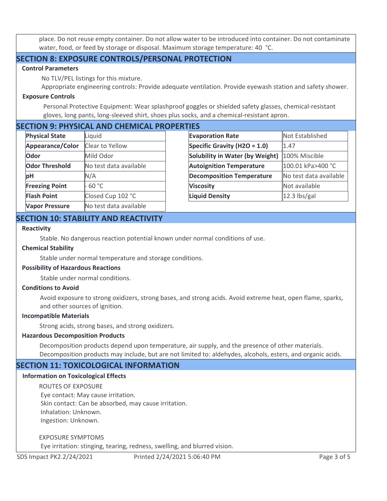place. Do not reuse empty container. Do not allow water to be introduced into container. Do not contaminate water, food, or feed by storage or disposal. Maximum storage temperature: 40 °C.

# **SECTION 8: EXPOSURE CONTROLS/PERSONAL PROTECTION**

#### **Control Parameters**

No TLV/PEL listings for this mixture.

Appropriate engineering controls: Provide adequate ventilation. Provide eyewash station and safety shower.

#### **Exposure Controls**

Personal Protective Equipment: Wear splashproof goggles or shielded safety glasses, chemical-resistant gloves, long pants, long-sleeved shirt, shoes plus socks, and a chemical-resistant apron.

# **SECTION 9: PHYSICAL AND CHEMICAL PROPERTIES**

| <b>Physical State</b>   | Liquid                 |
|-------------------------|------------------------|
| <b>Appearance/Color</b> | <b>Clear to Yellow</b> |
| Odor                    | Mild Odor              |
| <b>Odor Threshold</b>   | No test data available |
| рH                      | N/A                    |
| <b>Freezing Point</b>   | 60 °C                  |
| <b>Flash Point</b>      | Closed Cup 102 °C      |
| <b>Vapor Pressure</b>   | No test data available |

| Шеэ                                    |                        |  |  |
|----------------------------------------|------------------------|--|--|
| <b>Evaporation Rate</b>                | Not Established        |  |  |
| Specific Gravity (H2O = 1.0)           | 1.47                   |  |  |
| <b>Solubility in Water (by Weight)</b> | 100% Miscible          |  |  |
| <b>Autoignition Temperature</b>        | 100.01 kPa>400 °C      |  |  |
| <b>Decomposition Temperature</b>       | No test data available |  |  |
| <b>Viscosity</b>                       | Not available          |  |  |
| <b>Liquid Density</b>                  | $12.3$ lbs/gal         |  |  |

# **SECTION 10: STABILITY AND REACTIVITY**

#### **Reactivity**

Stable. No dangerous reaction potential known under normal conditions of use.

#### **Chemical Stability**

Stable under normal temperature and storage conditions.

#### **Possibility of Hazardous Reactions**

Stable under normal conditions.

#### **Conditions to Avoid**

Avoid exposure to strong oxidizers, strong bases, and strong acids. Avoid extreme heat, open flame, sparks, and other sources of ignition.

#### **Incompatible Materials**

Strong acids, strong bases, and strong oxidizers.

#### **Hazardous Decomposition Products**

Decomposition products depend upon temperature, air supply, and the presence of other materials. Decomposition products may include, but are not limited to: aldehydes, alcohols, esters, and organic acids.

# **SECTION 11: TOXICOLOGICAL INFORMATION**

#### **Information on Toxicological Effects**

ROUTES OF EXPOSURE

 Eye contact: May cause irritation. Skin contact: Can be absorbed, may cause irritation. Inhalation: Unknown. Ingestion: Unknown.

#### EXPOSURE SYMPTOMS

Eye irritation: stinging, tearing, redness, swelling, and blurred vision.

SDS Impact PK2.2/24/2021 Printed 2/24/2021 5:06:40 PM Page 3 of 5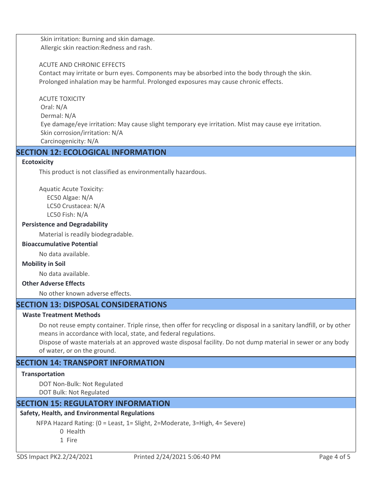Skin irritation: Burning and skin damage. Allergic skin reaction:Redness and rash.

#### ACUTE AND CHRONIC EFFECTS

Contact may irritate or burn eyes. Components may be absorbed into the body through the skin. Prolonged inhalation may be harmful. Prolonged exposures may cause chronic effects.

ACUTE TOXICITY Oral: N/A Dermal: N/A Eye damage/eye irritation: May cause slight temporary eye irritation. Mist may cause eye irritation. Skin corrosion/irritation: N/A Carcinogenicity: N/A

# **SECTION 12: ECOLOGICAL INFORMATION**

#### **Ecotoxicity**

This product is not classified as environmentally hazardous.

Aquatic Acute Toxicity: EC50 Algae: N/A LC50 Crustacea: N/A LC50 Fish: N/A

#### **Persistence and Degradability**

Material is readily biodegradable.

#### **Bioaccumulative Potential**

No data available.

#### **Mobility in Soil**

No data available.

#### **Other Adverse Effects**

No other known adverse effects.

# **SECTION 13: DISPOSAL CONSIDERATIONS**

#### **Waste Treatment Methods**

Do not reuse empty container. Triple rinse, then offer for recycling or disposal in a sanitary landfill, or by other means in accordance with local, state, and federal regulations.

Dispose of waste materials at an approved waste disposal facility. Do not dump material in sewer or any body of water, or on the ground.

# **SECTION 14: TRANSPORT INFORMATION**

#### **Transportation**

DOT Non-Bulk: Not Regulated DOT Bulk: Not Regulated

## **SECTION 15: REGULATORY INFORMATION**

## **Safety, Health, and Environmental Regulations**

NFPA Hazard Rating: (0 = Least, 1= Slight, 2=Moderate, 3=High, 4= Severe) 0 Health 1 Fire